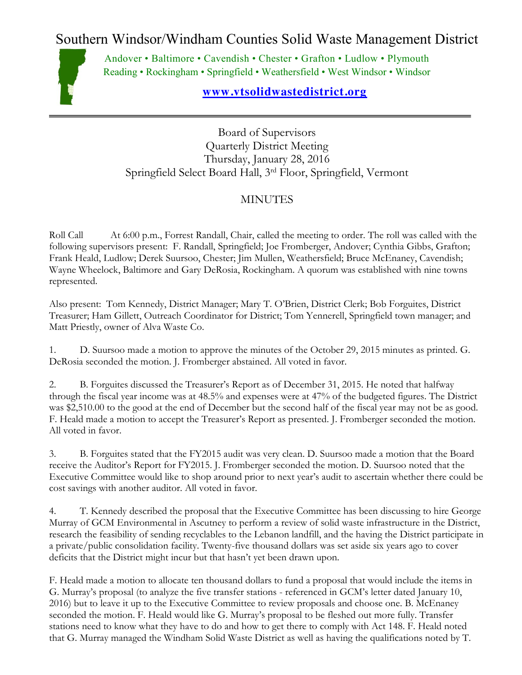Southern Windsor/Windham Counties Solid Waste Management District



Andover • Baltimore • Cavendish • Chester • Grafton • Ludlow • Plymouth Reading • Rockingham • Springfield • Weathersfield • West Windsor • Windsor

## **[www.vtsolidwastedistrict.org](http://www.vtsolidwastedistrict.org/)**

Board of Supervisors Quarterly District Meeting Thursday, January 28, 2016 Springfield Select Board Hall, 3rd Floor, Springfield, Vermont

## MINUTES

Roll Call At 6:00 p.m., Forrest Randall, Chair, called the meeting to order. The roll was called with the following supervisors present: F. Randall, Springfield; Joe Fromberger, Andover; Cynthia Gibbs, Grafton; Frank Heald, Ludlow; Derek Suursoo, Chester; Jim Mullen, Weathersfield; Bruce McEnaney, Cavendish; Wayne Wheelock, Baltimore and Gary DeRosia, Rockingham. A quorum was established with nine towns represented.

Also present: Tom Kennedy, District Manager; Mary T. O'Brien, District Clerk; Bob Forguites, District Treasurer; Ham Gillett, Outreach Coordinator for District; Tom Yennerell, Springfield town manager; and Matt Priestly, owner of Alva Waste Co.

1. D. Suursoo made a motion to approve the minutes of the October 29, 2015 minutes as printed. G. DeRosia seconded the motion. J. Fromberger abstained. All voted in favor.

2. B. Forguites discussed the Treasurer's Report as of December 31, 2015. He noted that halfway through the fiscal year income was at 48.5% and expenses were at 47% of the budgeted figures. The District was \$2,510.00 to the good at the end of December but the second half of the fiscal year may not be as good. F. Heald made a motion to accept the Treasurer's Report as presented. J. Fromberger seconded the motion. All voted in favor.

3. B. Forguites stated that the FY2015 audit was very clean. D. Suursoo made a motion that the Board receive the Auditor's Report for FY2015. J. Fromberger seconded the motion. D. Suursoo noted that the Executive Committee would like to shop around prior to next year's audit to ascertain whether there could be cost savings with another auditor. All voted in favor.

4. T. Kennedy described the proposal that the Executive Committee has been discussing to hire George Murray of GCM Environmental in Ascutney to perform a review of solid waste infrastructure in the District, research the feasibility of sending recyclables to the Lebanon landfill, and the having the District participate in a private/public consolidation facility. Twenty-five thousand dollars was set aside six years ago to cover deficits that the District might incur but that hasn't yet been drawn upon.

F. Heald made a motion to allocate ten thousand dollars to fund a proposal that would include the items in G. Murray's proposal (to analyze the five transfer stations - referenced in GCM's letter dated January 10, 2016) but to leave it up to the Executive Committee to review proposals and choose one. B. McEnaney seconded the motion. F. Heald would like G. Murray's proposal to be fleshed out more fully. Transfer stations need to know what they have to do and how to get there to comply with Act 148. F. Heald noted that G. Murray managed the Windham Solid Waste District as well as having the qualifications noted by T.